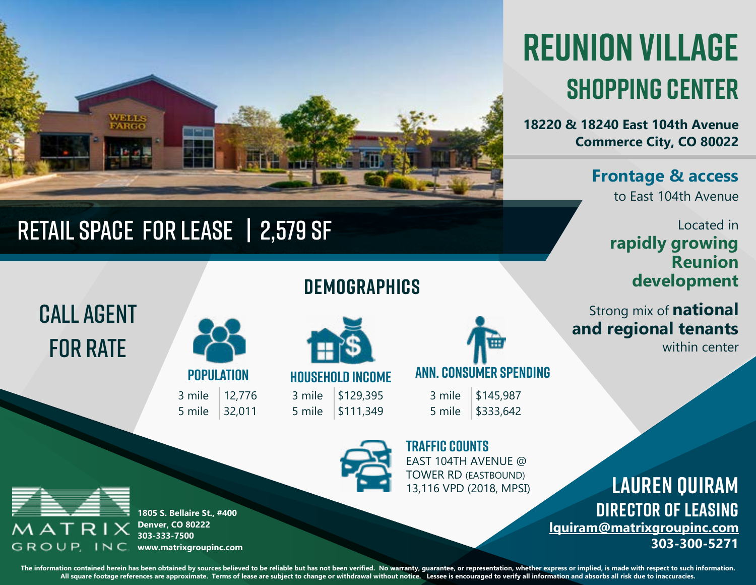

## RETAIL space for lease | 2,579 sf

# **reunion village shopping center**

**18220 & 18240 East 104th Avenue Commerce City, CO 80022**

#### **Frontage & access**

to East 104th Avenue

#### Located in **rapidly growing Reunion development**

Strong mix of **national and regional tenants** 

within center

## call agent **FOR RATE**

3 mile 12,776 5 mile 32,011 **POPULATION**

**HOUSEHOLD INCOME**

**demographics**

3 mile \$129,395 5 mile \$111,349



3 mile \$145,987 5 mile \$333,642



EAST 104TH AVENUE @ TOWER RD (EASTBOUND) 13,116 VPD (2018, MPSI) **TRAFFIC COUNTS**

**Lauren Quiram director of leasing [lquiram@matrixgroupinc.com](mailto:lquiram%40matrixgroupinc.com%20?subject=Reunion%20Village%20Interest%20from%20Brochure) 303-300-5271**



**1805 S. Bellaire St., #400 Denver, CO 80222 303-333-7500** GROUP, INC **www.matrixgroupinc.com**

The information contained herein has been obtained by sources believed to be reliable but has not been verified. No warranty, quarantee, or representation, whether express or implied, is made with respect to such informati **All square footage references are approximate. Terms of lease are subject to change or withdrawal without notice. Lessee is encouraged to verify all information and absorbs all risk due to inaccuracies.**